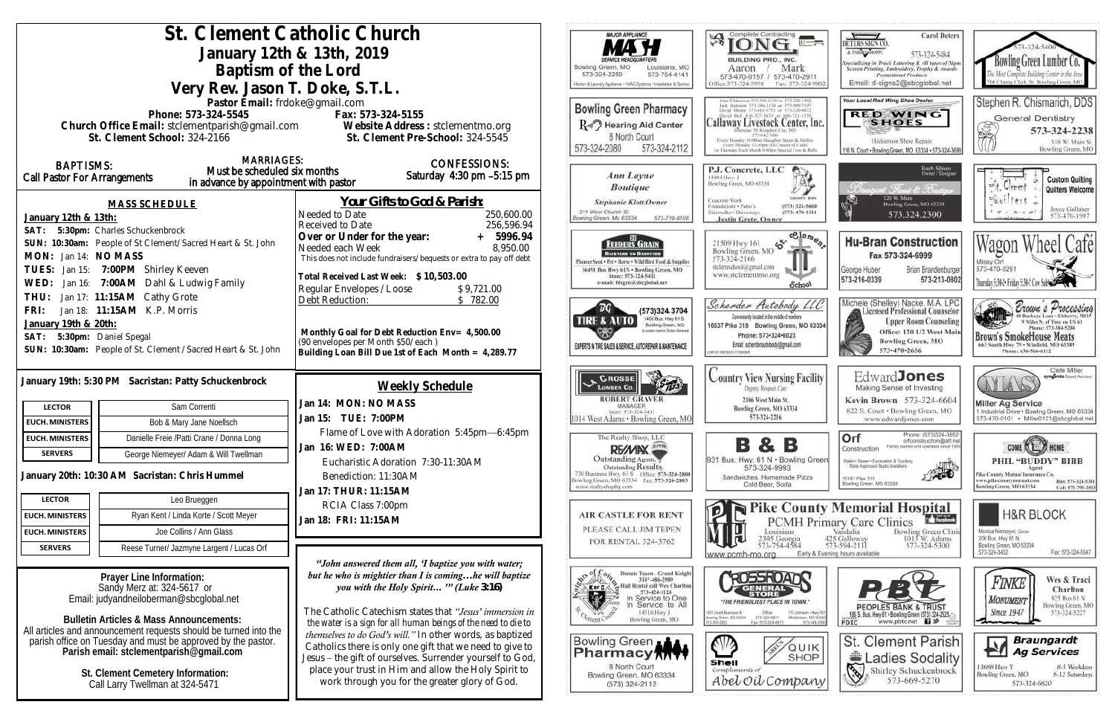| St. Clement Catholic Church                                                                             |                                                                                                                             | <b>MAJOR APPLIANCE</b>                                                                                                          | Complete Contracting<br>孑                                                                                                                      |
|---------------------------------------------------------------------------------------------------------|-----------------------------------------------------------------------------------------------------------------------------|---------------------------------------------------------------------------------------------------------------------------------|------------------------------------------------------------------------------------------------------------------------------------------------|
|                                                                                                         | January 12th & 13th, 2019                                                                                                   |                                                                                                                                 |                                                                                                                                                |
| Baptism of the Lord                                                                                     | Bowling Green, MO<br>Louisiana, MO                                                                                          | BUILDING PRO., INC.<br>Mark<br>Aaron                                                                                            |                                                                                                                                                |
| Very Rev. Jason T. Doke, S.T.L.                                                                         | 573-324-2259<br>573-754-4141<br>Ochen & Laundry Appliance + HVAC Systems + Installation & Service                           | 573-470-0157 / 573-470-291<br>Office:573-324-5958<br>Fax: 573-32                                                                |                                                                                                                                                |
| Pastor Email: frdoke@gmail.com                                                                          |                                                                                                                             |                                                                                                                                 | ahn P. Harrison 373-386-5150 or -573-220-14K                                                                                                   |
| Phone: 573-324-5545                                                                                     | <b>Bowling Green Pharmacy</b>                                                                                               | Jack Harrison 573-386-2138 or 573-999-7107<br>David Means 573-642-9753 or 573-220-047<br>David Bell 816-327-5633 or 666-721-137 |                                                                                                                                                |
| Church Office Email: stclementparish@gmail.com Website Address: stclementmo.org                         |                                                                                                                             | Ru Hearing Aid Center                                                                                                           | Callaway Livestock Center, I                                                                                                                   |
| St. Clement School: 324-2166                                                                            | St. Clement Pre-School: 324-5545                                                                                            | 8 North Court<br>573-324-2080<br>573-324-2112                                                                                   | Every Monday 10:00ain Slaughor Steers & Heifer<br>Every Monday 12:30pm All Classes of Cattle<br>1 - Thunday Each Munth 6 (Rim Special Cow & Bu |
| <b>MARRIAGES:</b><br><b>BAPTISMS:</b>                                                                   | <b>CONFESSIONS:</b>                                                                                                         |                                                                                                                                 |                                                                                                                                                |
| Must be scheduled six months<br><b>Call Pastor For Arrangements</b>                                     | Saturday 4:30 pm -5:15 pm                                                                                                   | Ann Layne                                                                                                                       | P.J. Concrete, LLC<br>15084 Hwy. J                                                                                                             |
| in advance by appointment with pastor                                                                   |                                                                                                                             | <b>Boutique</b>                                                                                                                 | Bowling Green, MO 63334                                                                                                                        |
| <b>MASS SCHEDULE</b>                                                                                    | <u>Your Gifts to God &amp; Parish:</u>                                                                                      | <b>Stephanie Klott, Owner</b><br>211 West Church St.                                                                            | Concrete Work<br>Foundations . Patio's<br>$(573)$ 324-566<br>Sidewalks . Driveways<br>$(573)$ 470-15                                           |
| January 12th & 13th:                                                                                    | Needed to Date<br>250,600.00<br>256,596.94<br>Received to Date                                                              | Bowling Green, Mo 63334<br>573-719-9108                                                                                         | <b>Justin Grote, Owner</b>                                                                                                                     |
| SAT: 5:30pm: Charles Schuckenbrock<br>SUN: 10:30am: People of St Clement/Sacred Heart & St. John        | Over or Under for the year:<br>5996.94                                                                                      |                                                                                                                                 | $5^{64}$<br>21509 Hwy 161                                                                                                                      |
| MON: Jan 14: NO MASS                                                                                    | 8,950.00<br>Needed each Week<br>This does not include fundraisers/bequests or extra to pay off debt                         | <b>FEEDERS GRAIN</b><br>BACKYARD TO BASISYARD                                                                                   | Bowling Green, MO<br>573-324-2166                                                                                                              |
| Jan 15: 7:00PM Shirley Keeven<br>TUES:                                                                  |                                                                                                                             | Pioneer Seed . Pet . Horse . Wild Bird Feed & Supplies<br>16491 Bus Hwy 61N . Bowling Green, MO                                 | stelemschool@gmail.com                                                                                                                         |
| Jan 16: 7:00AM Dahl & Ludwig Family<br>WED:                                                             | Total Received Last Week: \$10,503.00<br>Regular Envelopes / Loose<br>\$9,721.00                                            | Store: 573-324-5411<br>e-mail: fdsgrn@sbeglobal.net                                                                             | www.stclementmo.org<br>School                                                                                                                  |
| Jan 17: 11:15AM Cathy Grote<br>THU:                                                                     | Debt Reduction:<br>\$782.00                                                                                                 |                                                                                                                                 | Scherder Autobody Li                                                                                                                           |
| Jan 18: 11:15AM K.P. Morris<br>FRI:                                                                     |                                                                                                                             | $\overline{B}G$<br>(573)324 3704<br>1400 Bus. Hwy 61 S.<br>TIRE & AUTO                                                          | Conveniently located in the middle of nowhere                                                                                                  |
| January 19th & 20th:                                                                                    | Monthly Goal for Debt Reduction Env= 4,500.00                                                                               | Bowling Green, MO<br>coloci need in Dollar Genesia                                                                              | 16637 Pike 318 Bowling Green, MO 6<br>Phone: 573-324-6023                                                                                      |
| 5:30pm: Daniel Spegal<br>SAT:<br>SUN: 10:30am: People of St. Clement / Sacred Heart & St. John          | (90 envelopes per Month \$50/each)<br>Building Loan Bill Due 1st of Each Month = 4,289.77                                   | EXPERTS IN TIRE SALES & SERVICE, AUTO REPAIR & MAINTENANCE                                                                      | Email: scherderautobody@gmail.com<br>call for directions if needed.                                                                            |
|                                                                                                         |                                                                                                                             |                                                                                                                                 |                                                                                                                                                |
| January 19th: 5:30 PM Sacristan: Patty Schuckenbrock                                                    |                                                                                                                             | <b>CROSSE</b>                                                                                                                   | <b>Country View Nursing Faci</b>                                                                                                               |
|                                                                                                         | Weekly Schedule                                                                                                             | <b>ROBERT GRAVER</b>                                                                                                            | Dignity, Respect, Care<br>2106 West Main St.                                                                                                   |
| Sam Correnti<br><b>LECTOR</b>                                                                           | Jan 14: MON: NO MASS                                                                                                        | MANAGER<br>Sixer: 573-324-5431                                                                                                  | Bowling Green, MO 63334                                                                                                                        |
| <b>EUCH. MINISTERS</b><br>Bob & Mary Jane Noellsch                                                      | Jan 15: TUE: 7:00PM                                                                                                         | 1014 West Adams · Bowling Green, MO                                                                                             | 573-324-2216                                                                                                                                   |
| Danielle Freie /Patti Crane / Donna Long<br><b>EUCH. MINISTERS</b>                                      | Flame of Love with Adoration 5:45pm-6:45pm                                                                                  | The Realty Shop, LLC                                                                                                            | в<br>В                                                                                                                                         |
| <b>SERVERS</b><br>George Niemeyer/ Adam & Will Twellman                                                 | Jan 16: WED: 7:00AM<br>Eucharistic Adoration 7:30-11:30AM                                                                   | RE/MIX<br>Outstanding Agents.                                                                                                   | 931 Bus. Hwy. 61 N . Bowling G                                                                                                                 |
| January 20th: 10:30 AM Sacristan: Chris Hummel                                                          | Benediction: 11:30AM                                                                                                        | Outstanding Results.<br>730 Business Hwy. 61 S Office: 573-324-2800                                                             | 573-324-9993<br>Sandwiches, Homemade Pizza                                                                                                     |
|                                                                                                         | Jan 17: THUR: 11:15AM                                                                                                       | Bowling Green, MO 63334 Fax: 573-324-2803<br>www.realtyshopbg.com                                                               | Cold Beer, Soda                                                                                                                                |
| Leo Brueggen<br><b>LECTOR</b>                                                                           | RCIA Class 7:00pm                                                                                                           |                                                                                                                                 | Pike Cour                                                                                                                                      |
| Ryan Kent / Linda Korte / Scott Meyer<br><b>EUCH. MINISTERS</b>                                         | Jan 18: FRI: 11:15AM                                                                                                        | <b>AIR CASTLE FOR RENT</b>                                                                                                      | <b>PCMHP</b>                                                                                                                                   |
| Joe Collins / Ann Glass<br><b>EUCH. MINISTERS</b>                                                       |                                                                                                                             | PLEASE CALL JIM TEPEN<br>FOR RENTAL 324-3762                                                                                    | Louisiana<br>2305 Georgia                                                                                                                      |
| Reese Turner/ Jazmyne Largent / Lucas Orf<br><b>SERVERS</b>                                             |                                                                                                                             |                                                                                                                                 | 573-754-4584<br>Early<br>www.pcmh-mo.org                                                                                                       |
|                                                                                                         | "John answered them all, 'I baptize you with water;                                                                         |                                                                                                                                 |                                                                                                                                                |
| Prayer Line Information:<br>Sandy Merz at: 324-5617 or                                                  | but he who is mightier than I is cominghe will baptize<br>you with the Holy Spirit "" (Luke $3.16$ )                        | Oly Donne 314°-486-2989<br>That Rental call Wes Chariton<br>K or C                                                              |                                                                                                                                                |
| Email: judyandneiloberman@sbcglobal.net                                                                 |                                                                                                                             | 573-424-1126<br>n Service to One<br>In Service to All                                                                           | STOR<br>"THE FRIENDLIEST PLACE IN TOWN.                                                                                                        |
| <b>Bulletin Articles &amp; Mass Announcements:</b>                                                      | The Catholic Catechism states that "Jesus' immersion in                                                                     | 14516 Hwy J<br>Bowling Green, MO                                                                                                | 1001 South Business 61<br>Office<br>110 Johnson -<br>Bowing Green, MO 83334<br>373-326-6811<br>Mitfallow, M.                                   |
| All articles and announcement requests should be turned into the                                        | the water is a sign for all human beings of the need to die to<br>themselves to do God's will." In other words, as baptized |                                                                                                                                 | Fax: 573-324-6811                                                                                                                              |
| parish office on Tuesday and must be approved by the pastor.<br>Parish email: stclementparish@gmail.com | Catholics there is only one gift that we need to give to                                                                    | Bowling Green                                                                                                                   | QUI                                                                                                                                            |
|                                                                                                         | Jesus - the gift of ourselves. Surrender yourself to God,                                                                   | Pharmacy <b>ATT</b><br>8 North Court                                                                                            | <b>SHO</b><br>Shell                                                                                                                            |
| St. Clement Cemetery Information:                                                                       | place your trust in Him and allow the Holy Spirit to                                                                        | Bowling Green, MO 63334                                                                                                         | Compliments of<br>Abel Oil Compas                                                                                                              |
| Call Larry Twellman at 324-5471                                                                         | work through you for the greater glory of God.                                                                              | (573) 324-2112                                                                                                                  |                                                                                                                                                |